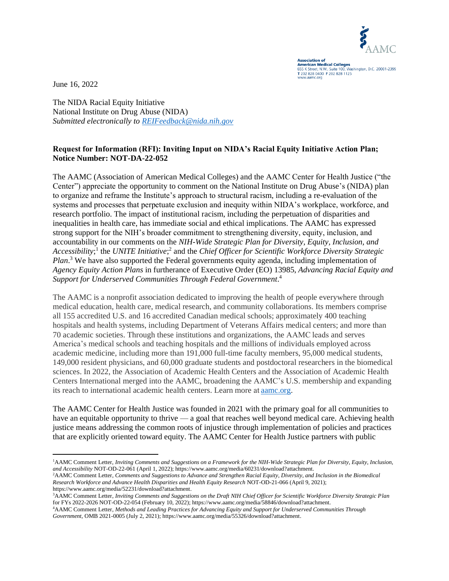

**Association of<br>American Medical Colleges**<br>655 K Street, N.W., Suite 100, Washington, D.C. 20001-2399 T 202 828 0400 F 202 828 1125 w.aamc.org

June 16, 2022

The NIDA Racial Equity Initiative National Institute on Drug Abuse (NIDA) *Submitted electronically to [REIFeedback@nida.nih.gov](mailto:REIFeedback@nida.nih.gov)*

## **Request for Information (RFI): Inviting Input on NIDA's Racial Equity Initiative Action Plan; Notice Number: NOT-DA-22-052**

The AAMC (Association of American Medical Colleges) and the AAMC Center for Health Justice ("the Center") appreciate the opportunity to comment on the National Institute on Drug Abuse's (NIDA) plan to organize and reframe the Institute's approach to structural racism, including a re-evaluation of the systems and processes that perpetuate exclusion and inequity within NIDA's workplace, workforce, and research portfolio. The impact of institutional racism, including the perpetuation of disparities and inequalities in health care, has immediate social and ethical implications. The AAMC has expressed strong support for the NIH's broader commitment to strengthening diversity, equity, inclusion, and accountability in our comments on the *NIH-Wide Strategic Plan for Diversity, Equity, Inclusion, and*  Accessibility;<sup>1</sup> the *UNITE Initiative*;<sup>2</sup> and the *Chief Officer for Scientific Workforce Diversity Strategic* Plan.<sup>3</sup> We have also supported the Federal governments equity agenda, including implementation of *Agency Equity Action Plans* in furtherance of Executive Order (EO) 13985, *Advancing Racial Equity and Support for Underserved Communities Through Federal Government*. 4

The AAMC is a nonprofit association dedicated to improving the health of people everywhere through medical education, health care, medical research, and community collaborations. Its members comprise all 155 accredited U.S. and 16 accredited Canadian medical schools; approximately 400 teaching hospitals and health systems, including Department of Veterans Affairs medical centers; and more than 70 academic societies. Through these institutions and organizations, the AAMC leads and serves America's medical schools and teaching hospitals and the millions of individuals employed across academic medicine, including more than 191,000 full-time faculty members, 95,000 medical students, 149,000 resident physicians, and 60,000 graduate students and postdoctoral researchers in the biomedical sciences. In 2022, the Association of Academic Health Centers and the Association of Academic Health Centers International merged into the AAMC, broadening the AAMC's U.S. membership and expanding its reach to international academic health centers. Learn more at[aamc.org.](http://aamc.org/)

The AAMC Center for Health Justice was founded in 2021 with the primary goal for all communities to have an equitable opportunity to thrive — a goal that reaches well beyond medical care. Achieving health justice means addressing the common roots of injustice through implementation of policies and practices that are explicitly oriented toward equity. The AAMC Center for Health Justice partners with public

<sup>1</sup>AAMC Comment Letter, *Inviting Comments and Suggestions on a Framework for the NIH-Wide Strategic Plan for Diversity, Equity, Inclusion, and Accessibility* NOT-OD-22-061 (April 1, 2022); https://www.aamc.org/media/60231/download?attachment.

<sup>2</sup>AAMC Comment Letter, *Comments and Suggestions to Advance and Strengthen Racial Equity, Diversity, and Inclusion in the Biomedical Research Workforce and Advance Health Disparities and Health Equity Research* NOT-OD-21-066 (April 9, 2021); https://www.aamc.org/media/52231/download?attachment.

<sup>3</sup>AAMC Comment Letter, *Inviting Comments and Suggestions on the Draft NIH Chief Officer for Scientific Workforce Diversity Strategic Plan* for FYs 2022-2026 NOT-OD-22-054 (February 10, 2022); https://www.aamc.org/media/58846/download?attachment.

<sup>4</sup>AAMC Comment Letter, *Methods and Leading Practices for Advancing Equity and Support for Underserved Communities Through Government,* OMB 2021-0005 (July 2, 2021); https://www.aamc.org/media/55326/download?attachment.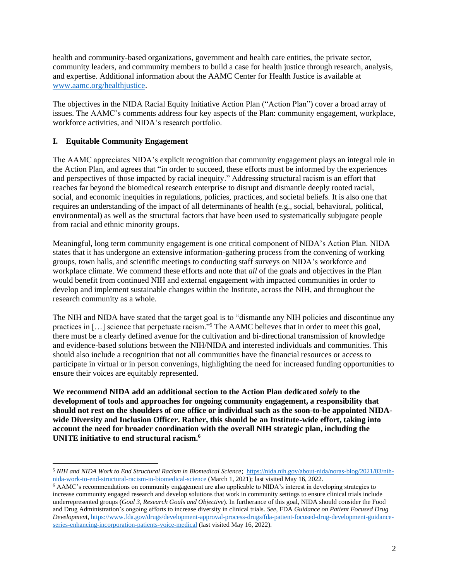health and community-based organizations, government and health care entities, the private sector, community leaders, and community members to build a case for health justice through research, analysis, and expertise. Additional information about the AAMC Center for Health Justice is available at [www.aamc.org/healthjustice.](http://www.aamc.org/healthjustice)

The objectives in the NIDA Racial Equity Initiative Action Plan ("Action Plan") cover a broad array of issues. The AAMC's comments address four key aspects of the Plan: community engagement, workplace, workforce activities, and NIDA's research portfolio.

# **I. Equitable Community Engagement**

The AAMC appreciates NIDA's explicit recognition that community engagement plays an integral role in the Action Plan, and agrees that "in order to succeed, these efforts must be informed by the experiences and perspectives of those impacted by racial inequity." Addressing structural racism is an effort that reaches far beyond the biomedical research enterprise to disrupt and dismantle deeply rooted racial, social, and economic inequities in regulations, policies, practices, and societal beliefs. It is also one that requires an understanding of the impact of all determinants of health (e.g., social, behavioral, political, environmental) as well as the structural factors that have been used to systematically subjugate people from racial and ethnic minority groups.

Meaningful, long term community engagement is one critical component of NIDA's Action Plan. NIDA states that it has undergone an extensive information-gathering process from the convening of working groups, town halls, and scientific meetings to conducting staff surveys on NIDA's workforce and workplace climate. We commend these efforts and note that *all* of the goals and objectives in the Plan would benefit from continued NIH and external engagement with impacted communities in order to develop and implement sustainable changes within the Institute, across the NIH, and throughout the research community as a whole.

The NIH and NIDA have stated that the target goal is to "dismantle any NIH policies and discontinue any practices in [...] science that perpetuate racism."<sup>5</sup> The AAMC believes that in order to meet this goal, there must be a clearly defined avenue for the cultivation and bi-directional transmission of knowledge and evidence-based solutions between the NIH/NIDA and interested individuals and communities. This should also include a recognition that not all communities have the financial resources or access to participate in virtual or in person convenings, highlighting the need for increased funding opportunities to ensure their voices are equitably represented.

**We recommend NIDA add an additional section to the Action Plan dedicated** *solely* **to the development of tools and approaches for ongoing community engagement, a responsibility that should not rest on the shoulders of one office or individual such as the soon-to-be appointed NIDAwide Diversity and Inclusion Officer. Rather, this should be an Institute-wide effort, taking into account the need for broader coordination with the overall NIH strategic plan, including the UNITE initiative to end structural racism.<sup>6</sup>**

<sup>5</sup> *NIH and NIDA Work to End Structural Racism in Biomedical Science*; [https://nida.nih.gov/about-nida/noras-blog/2021/03/nih](https://nida.nih.gov/about-nida/noras-blog/2021/03/nih-nida-work-to-end-structural-racism-in-biomedical-science)[nida-work-to-end-structural-racism-in-biomedical-science](https://nida.nih.gov/about-nida/noras-blog/2021/03/nih-nida-work-to-end-structural-racism-in-biomedical-science) (March 1, 2021); last visited May 16, 2022.

<sup>6</sup> AAMC's recommendations on community engagement are also applicable to NIDA's interest in developing strategies to increase community engaged research and develop solutions that work in community settings to ensure clinical trials include underrepresented groups (*Goal 3, Research Goals and Objective*). In furtherance of this goal, NIDA should consider the Food and Drug Administration's ongoing efforts to increase diversity in clinical trials. *See*, FDA *Guidance on Patient Focused Drug Developmen*t, [https://www.fda.gov/drugs/development-approval-process-drugs/fda-patient-focused-drug-development-guidance](https://www.fda.gov/drugs/development-approval-process-drugs/fda-patient-focused-drug-development-guidance-series-enhancing-incorporation-patients-voice-medical)[series-enhancing-incorporation-patients-voice-medical](https://www.fda.gov/drugs/development-approval-process-drugs/fda-patient-focused-drug-development-guidance-series-enhancing-incorporation-patients-voice-medical) (last visited May 16, 2022).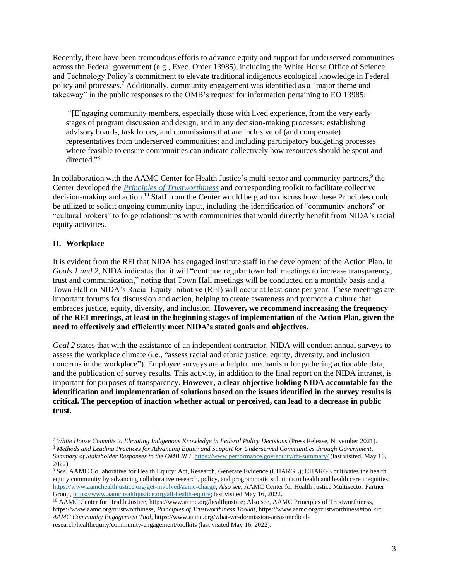Recently, there have been tremendous efforts to advance equity and support for underserved communities across the Federal government (e.g., Exec. Order 13985), including the White House Office of Science and Technology Policy's commitment to elevate traditional indigenous ecological knowledge in Federal policy and processes.<sup>7</sup> Additionally, community engagement was identified as a "major theme and takeaway" in the public responses to the OMB's request for information pertaining to EO 13985:

"[E]ngaging community members, especially those with lived experience, from the very early stages of program discussion and design, and in any decision-making processes; establishing advisory boards, task forces, and commissions that are inclusive of (and compensate) representatives from underserved communities; and including participatory budgeting processes where feasible to ensure communities can indicate collectively how resources should be spent and directed." 8

In collaboration with the AAMC Center for Health Justice's multi-sector and community partners,<sup>9</sup> the Center developed the *[Principles of Trustworthiness](https://www.aamchealthjustice.org/resources/trustworthiness-toolkit#principles)* and corresponding toolkit to facilitate collective decision-making and action.<sup>10</sup> Staff from the Center would be glad to discuss how these Principles could be utilized to solicit ongoing community input, including the identification of "community anchors" or "cultural brokers" to forge relationships with communities that would directly benefit from NIDA's racial equity activities.

# **II. Workplace**

It is evident from the RFI that NIDA has engaged institute staff in the development of the Action Plan. In *Goals 1 and 2*, NIDA indicates that it will "continue regular town hall meetings to increase transparency, trust and communication," noting that Town Hall meetings will be conducted on a monthly basis and a Town Hall on NIDA's Racial Equity Initiative (REI) will occur at least *once* per year. These meetings are important forums for discussion and action, helping to create awareness and promote a culture that embraces justice, equity, diversity, and inclusion. **However, we recommend increasing the frequency of the REI meetings, at least in the beginning stages of implementation of the Action Plan, given the need to effectively and efficiently meet NIDA's stated goals and objectives.**

*Goal 2* states that with the assistance of an independent contractor, NIDA will conduct annual surveys to assess the workplace climate (i.e., "assess racial and ethnic justice, equity, diversity, and inclusion concerns in the workplace"). Employee surveys are a helpful mechanism for gathering actionable data, and the publication of survey results. This activity, in addition to the final report on the NIDA intranet, is important for purposes of transparency. **However, a clear objective holding NIDA accountable for the identification and implementation of solutions based on the issues identified in the survey results is critical. The perception of inaction whether actual or perceived, can lead to a decrease in public trust.** 

<sup>7</sup> *White House Commits to Elevating Indigenous Knowledge in Federal Policy Decisions* (Press Release, November 2021).

<sup>8</sup> *Methods and Leading Practices for Advancing Equity and Support for Underserved Communities through Government*, *Summary of Stakeholder Responses to the OMB RFI*[, https://www.performance.gov/equity/rfi-summary/](https://www.performance.gov/equity/rfi-summary/) (last visited, May 16, 2022).

<sup>9</sup> *See*, AAMC Collaborative for Health Equity: Act, Research, Generate Evidence (CHARGE); CHARGE cultivates the health equity community by advancing collaborative research, policy, and programmatic solutions to health and health care inequities. [https://www.aamchealthjustice.org/get-involved/aamc-charge;](https://www.aamchealthjustice.org/get-involved/aamc-charge) *Also see*, AAMC Center for Health Justice Multisector Partner Group[, https://www.aamchealthjustice.org/all-health-equity;](https://www.aamchealthjustice.org/all-health-equity) last visited May 16, 2022.

<sup>&</sup>lt;sup>10</sup> AAMC Center for Health Justice, https://www.aamc.org/healthiustice; Also see, AAMC Principles of Trustworthiness, https://www.aamc.org/trustworthiness, *Principles of Trustworthiness Toolkit*, https://www.aamc.org/trustworthiness#toolkit; *AAMC Community Engagement Tool*, https://www.aamc.org/what-we-do/mission-areas/medicalresearch/healthequity/community-engagement/toolkits (last visited May 16, 2022).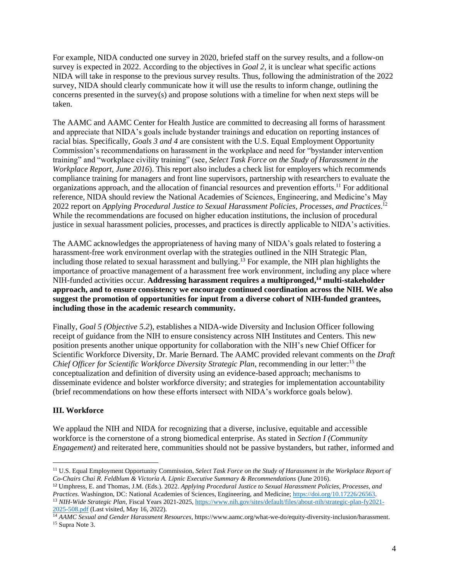For example, NIDA conducted one survey in 2020, briefed staff on the survey results, and a follow-on survey is expected in 2022. According to the objectives in *Goal 2*, it is unclear what specific actions NIDA will take in response to the previous survey results. Thus, following the administration of the 2022 survey, NIDA should clearly communicate how it will use the results to inform change, outlining the concerns presented in the survey(s) and propose solutions with a timeline for when next steps will be taken.

The AAMC and AAMC Center for Health Justice are committed to decreasing all forms of harassment and appreciate that NIDA's goals include bystander trainings and education on reporting instances of racial bias. Specifically, *Goals 3 and 4* are consistent with the U.S. Equal Employment Opportunity Commission's recommendations on harassment in the workplace and need for "bystander intervention training" and "workplace civility training" (see, *Select Task Force on the Study of Harassment in the Workplace Report, June 2016*). This report also includes a check list for employers which recommends compliance training for managers and front line supervisors, partnership with researchers to evaluate the organizations approach, and the allocation of financial resources and prevention efforts.<sup>11</sup> For additional reference, NIDA should review the National Academies of Sciences, Engineering, and Medicine's May 2022 report on *Applying Procedural Justice to Sexual Harassment Policies, Processes, and Practices*. 12 While the recommendations are focused on higher education institutions, the inclusion of procedural justice in sexual harassment policies, processes, and practices is directly applicable to NIDA's activities.

The AAMC acknowledges the appropriateness of having many of NIDA's goals related to fostering a harassment-free work environment overlap with the strategies outlined in the NIH Strategic Plan, including those related to sexual harassment and bullying.<sup>13</sup> For example, the NIH plan highlights the importance of proactive management of a harassment free work environment, including any place where NIH-funded activities occur. **Addressing harassment requires a multipronged, <sup>14</sup> multi-stakeholder approach, and to ensure consistency we encourage continued coordination across the NIH. We also suggest the promotion of opportunities for input from a diverse cohort of NIH-funded grantees, including those in the academic research community.** 

Finally, *Goal 5 (Objective 5.2*), establishes a NIDA-wide Diversity and Inclusion Officer following receipt of guidance from the NIH to ensure consistency across NIH Institutes and Centers. This new position presents another unique opportunity for collaboration with the NIH's new Chief Officer for Scientific Workforce Diversity, Dr. Marie Bernard. The AAMC provided relevant comments on the *Draft Chief Officer for Scientific Workforce Diversity Strategic Plan*, recommending in our letter:<sup>15</sup> the conceptualization and definition of diversity using an evidence-based approach; mechanisms to disseminate evidence and bolster workforce diversity; and strategies for implementation accountability (brief recommendations on how these efforts intersect with NIDA's workforce goals below).

# **III. Workforce**

We applaud the NIH and NIDA for recognizing that a diverse, inclusive, equitable and accessible workforce is the cornerstone of a strong biomedical enterprise. As stated in *Section I (Community Engagement*) and reiterated here, communities should not be passive bystanders, but rather, informed and

<sup>11</sup> U.S. Equal Employment Opportunity Commission, *Select Task Force on the Study of Harassment in the Workplace Report of Co-Chairs Chai R. Feldblum & Victoria A. Lipnic Executive Summary & Recommendations* (June 2016).

<sup>12</sup> Umphress, E. and Thomas, J.M. (Eds.). 2022. *Applying Procedural Justice to Sexual Harassment Policies, Processes, and Practices.* Washington, DC: National Academies of Sciences, Engineering, and Medicine[; https://doi.org/10.17226/26563.](https://doi.org/10.17226/26563) <sup>13</sup> *NIH-Wide Strategic Plan*, Fiscal Years 2021-2025[, https://www.nih.gov/sites/default/files/about-nih/strategic-plan-fy2021-](https://www.nih.gov/sites/default/files/about-nih/strategic-plan-fy2021-2025-508.pdf) [2025-508.pdf](https://www.nih.gov/sites/default/files/about-nih/strategic-plan-fy2021-2025-508.pdf) (Last visited, May 16, 2022).

<sup>14</sup> *AAMC Sexual and Gender Harassment Resources*, https://www.aamc.org/what-we-do/equity-diversity-inclusion/harassment. <sup>15</sup> Supra Note 3.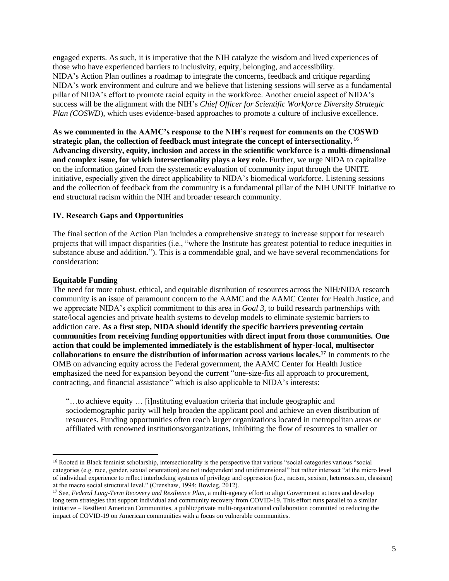engaged experts. As such, it is imperative that the NIH catalyze the wisdom and lived experiences of those who have experienced barriers to inclusivity, equity, belonging, and accessibility. NIDA's Action Plan outlines a roadmap to integrate the concerns, feedback and critique regarding NIDA's work environment and culture and we believe that listening sessions will serve as a fundamental pillar of NIDA's effort to promote racial equity in the workforce. Another crucial aspect of NIDA's success will be the alignment with the NIH's *Chief Officer for Scientific Workforce Diversity Strategic Plan (COSWD)*, which uses evidence-based approaches to promote a culture of inclusive excellence.

**As we commented in the AAMC's response to the NIH's request for comments on the COSWD strategic plan, the collection of feedback must integrate the concept of intersectionality. 16 Advancing diversity, equity, inclusion and access in the scientific workforce is a multi-dimensional and complex issue, for which intersectionality plays a key role.** Further, we urge NIDA to capitalize on the information gained from the systematic evaluation of community input through the UNITE initiative, especially given the direct applicability to NIDA's biomedical workforce. Listening sessions and the collection of feedback from the community is a fundamental pillar of the NIH UNITE Initiative to end structural racism within the NIH and broader research community.

### **IV. Research Gaps and Opportunities**

The final section of the Action Plan includes a comprehensive strategy to increase support for research projects that will impact disparities (i.e., "where the Institute has greatest potential to reduce inequities in substance abuse and addition."). This is a commendable goal, and we have several recommendations for consideration:

### **Equitable Funding**

The need for more robust, ethical, and equitable distribution of resources across the NIH/NIDA research community is an issue of paramount concern to the AAMC and the AAMC Center for Health Justice, and we appreciate NIDA's explicit commitment to this area in *Goal 3,* to build research partnerships with state/local agencies and private health systems to develop models to eliminate systemic barriers to addiction care. **As a first step, NIDA should identify the specific barriers preventing certain communities from receiving funding opportunities with direct input from those communities. One action that could be implemented immediately is the establishment of hyper-local, multisector collaborations to ensure the distribution of information across various locales.<sup>17</sup>** In comments to the OMB on advancing equity across the Federal government, the AAMC Center for Health Justice emphasized the need for expansion beyond the current "one-size-fits all approach to procurement, contracting, and financial assistance" which is also applicable to NIDA's interests:

"…to achieve equity … [i]nstituting evaluation criteria that include geographic and sociodemographic parity will help broaden the applicant pool and achieve an even distribution of resources. Funding opportunities often reach larger organizations located in metropolitan areas or affiliated with renowned institutions/organizations, inhibiting the flow of resources to smaller or

<sup>&</sup>lt;sup>16</sup> Rooted in Black feminist scholarship, intersectionality is the perspective that various "social categories various "social categories (e.g. race, gender, sexual orientation) are not independent and unidimensional" but rather intersect "at the micro level of individual experience to reflect interlocking systems of privilege and oppression (i.e., racism, sexism, heterosexism, classism) at the macro social structural level." (Crenshaw, 1994; Bowleg, 2012).

<sup>17</sup> See, *Federal Long-Term Recovery and Resilience Plan*, a multi-agency effort to align Government actions and develop long term strategies that support individual and community recovery from COVID-19. This effort runs parallel to a similar initiative – Resilient American Communities, a public/private multi-organizational collaboration committed to reducing the impact of COVID-19 on American communities with a focus on vulnerable communities.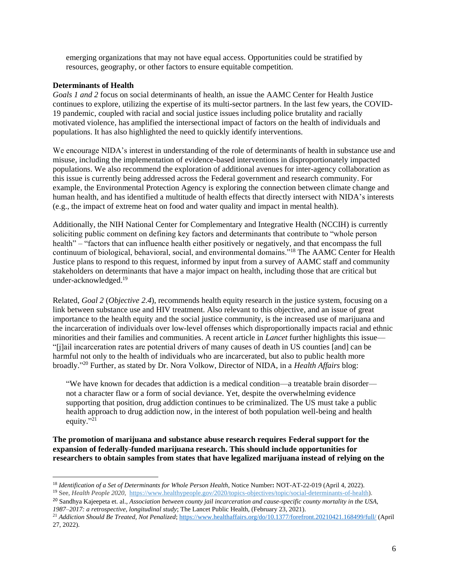emerging organizations that may not have equal access. Opportunities could be stratified by resources, geography, or other factors to ensure equitable competition.

### **Determinants of Health**

*Goals 1 and 2* focus on social determinants of health, an issue the AAMC Center for Health Justice continues to explore, utilizing the expertise of its multi-sector partners. In the last few years, the COVID-19 pandemic, coupled with racial and social justice issues including police brutality and racially motivated violence, has amplified the intersectional impact of factors on the health of individuals and populations. It has also highlighted the need to quickly identify interventions.

We encourage NIDA's interest in understanding of the role of determinants of health in substance use and misuse, including the implementation of evidence-based interventions in disproportionately impacted populations. We also recommend the exploration of additional avenues for inter-agency collaboration as this issue is currently being addressed across the Federal government and research community. For example, the Environmental Protection Agency is exploring the connection between climate change and human health, and has identified a multitude of health effects that directly intersect with NIDA's interests (e.g., the impact of extreme heat on food and water quality and impact in mental health).

Additionally, the NIH National Center for Complementary and Integrative Health (NCCIH) is currently soliciting public comment on defining key factors and determinants that contribute to "whole person health" – "factors that can influence health either positively or negatively, and that encompass the full continuum of biological, behavioral, social, and environmental domains."<sup>18</sup> The AAMC Center for Health Justice plans to respond to this request, informed by input from a survey of AAMC staff and community stakeholders on determinants that have a major impact on health, including those that are critical but under-acknowledged.<sup>19</sup>

Related, *Goal 2* (*Objective 2.4*), recommends health equity research in the justice system, focusing on a link between substance use and HIV treatment. Also relevant to this objective, and an issue of great importance to the health equity and the social justice community, is the increased use of marijuana and the incarceration of individuals over low-level offenses which disproportionally impacts racial and ethnic minorities and their families and communities. A recent article in *Lancet* further highlights this issue— "[j]ail incarceration rates are potential drivers of many causes of death in US counties [and] can be harmful not only to the health of individuals who are incarcerated, but also to public health more broadly." <sup>20</sup> Further, as stated by Dr. Nora Volkow, Director of NIDA, in a *Health Affairs* blog:

"We have known for decades that addiction is a medical condition—a treatable brain disorder not a character flaw or a form of social deviance. Yet, despite the overwhelming evidence supporting that position, drug addiction continues to be criminalized. The US must take a public health approach to drug addiction now, in the interest of both population well-being and health equity."<sup>21</sup>

**The promotion of marijuana and substance abuse research requires Federal support for the expansion of federally-funded marijuana research. This should include opportunities for researchers to obtain samples from states that have legalized marijuana instead of relying on the** 

<sup>18</sup> *Identification of a Set of Determinants for Whole Person Health*, Notice Number**:** NOT-AT-22-019 (April 4, 2022).

<sup>19</sup> See, *Health People 2020*, [https://www.healthypeople.gov/2020/topics-objectives/topic/social-determinants-of-health\)](https://www.healthypeople.gov/2020/topics-objectives/topic/social-determinants-of-health).

<sup>20</sup> Sandhya Kajeepeta et. al., *Association between county jail incarceration and cause-specific county mortality in the USA, 1987–2017: a retrospective, longitudinal study*; The Lancet Public Health, (February 23, 2021).

<sup>21</sup> *Addiction Should Be Treated, Not Penalized*[; https://www.healthaffairs.org/do/10.1377/forefront.20210421.168499/full/](https://www.healthaffairs.org/do/10.1377/forefront.20210421.168499/full/) (April 27, 2022).